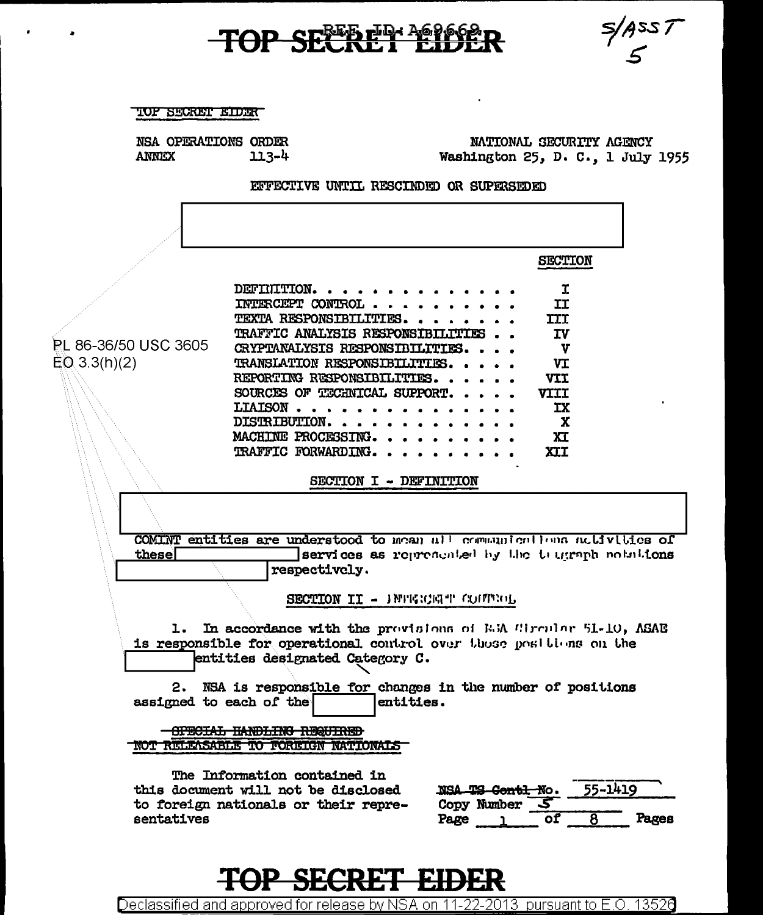# TOP SECRET EIDER

 $\bullet$ 

 $\sim 10^{-1}$ 

 $\cdot$ 



| TOF SECRET EIDER<br>NSA OPERATIONS ORDER<br>ANNEX | $113 - 4$                                                                                                                                                                                                                                                                              | Washington 25, D. C., 1 July 1955                 | NATIONAL SECURITY AGENCY                                                                 |                  |
|---------------------------------------------------|----------------------------------------------------------------------------------------------------------------------------------------------------------------------------------------------------------------------------------------------------------------------------------------|---------------------------------------------------|------------------------------------------------------------------------------------------|------------------|
|                                                   | EFFECTIVE UNTIL RESCINDED OR SUPERSEDED                                                                                                                                                                                                                                                |                                                   |                                                                                          |                  |
|                                                   |                                                                                                                                                                                                                                                                                        |                                                   |                                                                                          |                  |
|                                                   |                                                                                                                                                                                                                                                                                        |                                                   | <b>SECTION</b>                                                                           |                  |
| <b>RL 86-36/50 USC 3605</b><br>$EQ$ 3.3(h)(2)     | DEFINITION<br>INTERCEPT CONTROL<br>TEXTA RESPONSIBILITIES.<br>TRAFFIC ANALYSIS RESPONSIBILITIES<br>CRYPTANALYSIS RESPONSIBILITIES.<br>TRANSIATION RESPONSIBILITIES.<br>REPORTING RESPONSIBILITIES.<br>SOURCES OF TECHNICAL SUPPORT.<br>LIAISON<br>DISTRIBUTION.<br>MACHINE PROCESSING. |                                                   | I<br>II<br>III<br><b>IV</b><br>$\mathbf{v}$<br>VI<br><b>VII</b><br>VIII<br>ΙX<br>X<br>XI |                  |
|                                                   | TRAFFIC FORWARDING.<br>SECTION I - DEFINITION                                                                                                                                                                                                                                          |                                                   | <b>XII</b>                                                                               |                  |
| these                                             | COMINT entities are understood to mean all communicallens activities of<br>respectively.                                                                                                                                                                                               | services as represented by the truggeph notations |                                                                                          |                  |
|                                                   | SECTION II - INTERNATI CONTROL                                                                                                                                                                                                                                                         |                                                   |                                                                                          |                  |
| ı.                                                | In accordance with the provisions of E.M. Circular 51-10, ASAE<br>is responsible for operational control over those positions on the<br>entities designated Category C.                                                                                                                |                                                   |                                                                                          |                  |
| 2.<br>assigned to each of the                     | NSA is responsible for changes in the number of positions<br>entities.                                                                                                                                                                                                                 |                                                   |                                                                                          |                  |
|                                                   | CERTIGER BAILING INCOMM<br>NOT RELEASABLE TO FOREIGN NATIONALS                                                                                                                                                                                                                         |                                                   |                                                                                          |                  |
| sentatives                                        | The Information contained in<br>this document will not be disclosed<br>to foreign nationals or their repre-                                                                                                                                                                            | NSA TS Contl No.<br>Copy Number<br>Page           | 5<br>оf<br>$\overline{\mathbf{8}}$                                                       | 55-1419<br>rares |

**TOP SECRET EIDER** 

Declassified and approved for release by NSA on 11-22-2013 pursuant to E.O. 13526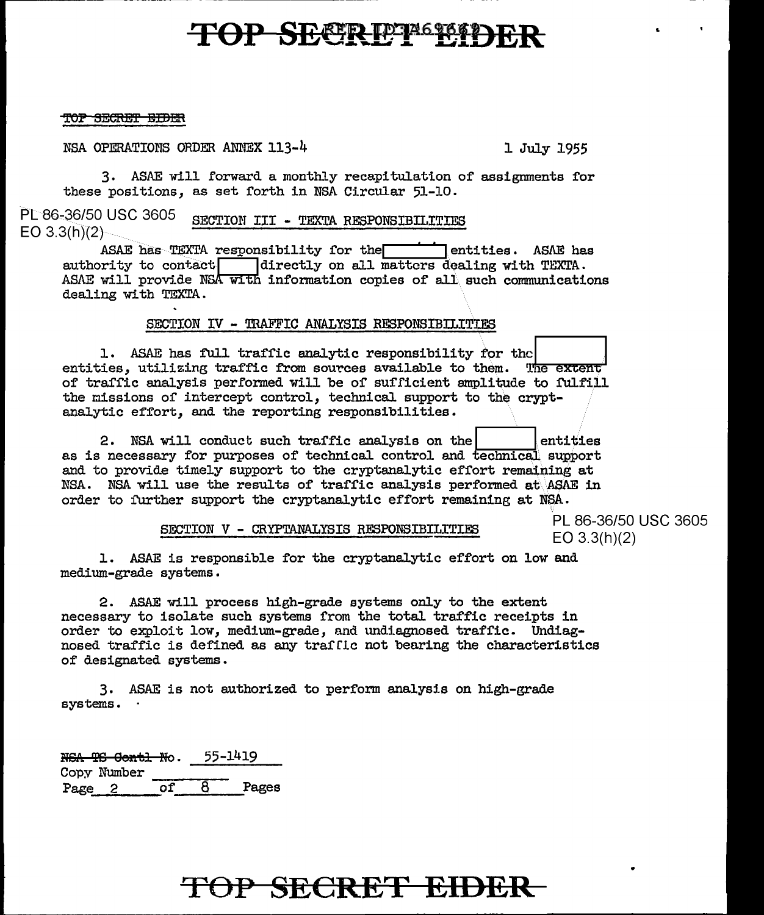# **TOP SECRIPTIONS**

#### TOP SECRET BIDER

NSA OPERATIONS ORDER ANNEX 113-4 1 July 1955

3. ASAE will forward a monthly recapitulation of assignments for these positions, as set forth in NSA Circular 51-10.

PL 86-36/50 USC 3605 EO  $3.3(h)(2)$ SECTION III - TEXTA RESPONSIBILITIES

ASAE has  $TexTA$  responsibility for the entities. ASAE has enthority to contact directly on all matters dealing with  $TexTA$ . directly on all matters dealing with TEXTA. ASAE will provide NSA with information copies of all such communications dealing with TEXTA.

#### SECTION IV - TRAFFIC ANALYSIS RESPONSIBILITIES

1. ASAE has full traffic analytic responsibility for the entities, utilizing traffic from sources available to of' traffic analysis performed will be of suf'ficient amplitude TES<br>
ror the<br>
them. The extent<br>
plitude to fulfill the missions or intercept control, technical support to the cryptanalytic effort, and the reporting responsibilities. 2. NSA willizing traffic from sources available to them. The extent<br>of traffic analysis performed will be of sufficient amplitude to fulfill<br>the missions of intercept control, technical support to the crypt-<br>analytic effor

and to provide timely support to the cryptanalytic effort remaining at NSA. NSA will use the results of traffic analysis performed at  $ASAE$  in order to further support the cryptanalytic effort remaining at NSA.

SECTION **V** - CRYPTANALYSIS RESPONSIBILITIES PL 86-36/50 USC 3605

EO 3.3(h)(2)

1. ASAE is responsible for the cryptanalytic effort on low and medium-grade systems.

2. ASAE will process high-grade systems on1y to the extent necessary to isolate such systems from the total traffic receipts in order to exploit low, medium-grade, and undiagnosed traffic. Undiagnosed traffic is defined as any trafflc not bearing the characteristics of designated systems.

3. ASAE is not authorized to perform analysis on high-grade systems.

N<del>GA TS Contl N</del>o. Copy Number 55-1419 Page 2 of 8 Pages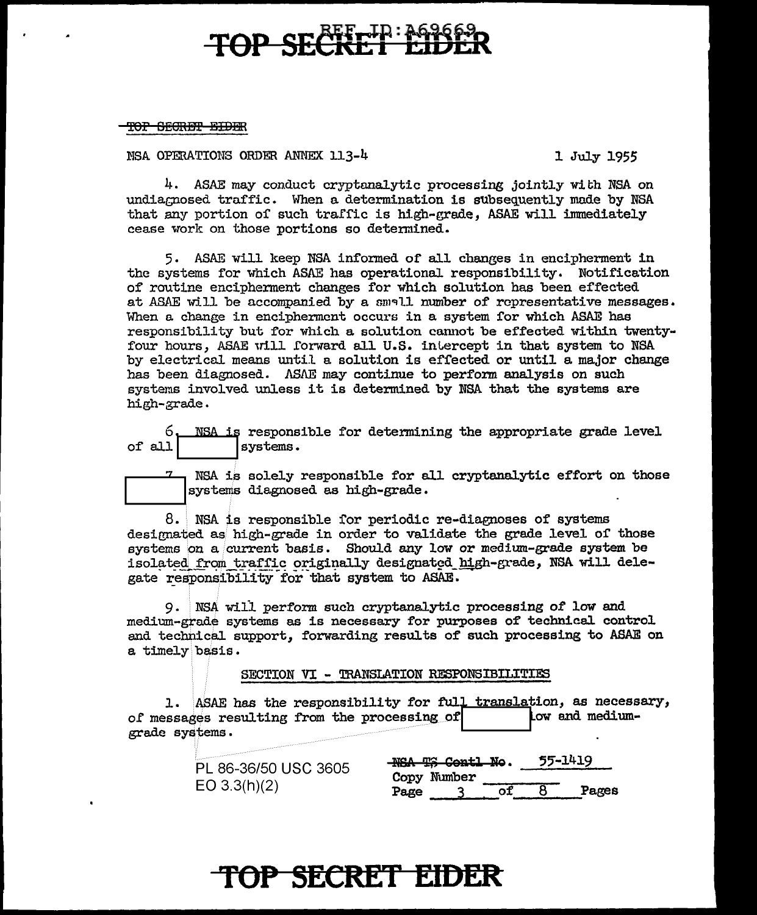# **TOP SECRET EIDER**

TO<del>F SECRET EIDER</del>

NSA OPERATIONS ORDER ANNEX 113-4 1 July 1955

4. ASAE may conduct cryptanalytic processing jointly with NSA on undiagnosed traffic. When a determination is subsequently made by NSA that any portion of such traffic is high-grade, ASAE will. immediately cease work on those portions so determined.

5. ASAE will keep NSA informed of all changes in encipherment in the systems for which ASAE has operational. responsibility. Notification of routine encipherment changes for which solution has been effected at ASAE will be accompanied by a small number of representative messages. When a change in encipherment occurs in a system for which ASAE has responsibility but for which a solution cannot be effected within twentyfour hours, ASAE will forward all U.S. intercept in that system to NSA by electrical means until a solution is effected or until a major change has been diagnosed. ASAE may continue to perform analysis on such systems involved unless it is determined by NSA that the systems are high-grade.

6. NSA is responsible for determining the appropriate grade level of all  $\vert$  systems. systems.



NSA is solely responsible for all cryptanalytic effort on those systems diagnosed as high-grade.

 $8.$  NSA is responsible for periodic re-diagnoses of systems designated as high-grade in order to validate the grade level of those systems on a current basis. Should any low or medium-grade system be isolated from traffic originally designated high-grade, NSA will delegate responsibility for that system to ASAE.

9. NSA will perf'orm such cryptanalytic processing *ot* low and medium-grade systems as is necessary for purposes of technical control and technical support, forwarding results of such processing to ASAE on a timely basis.

SECTION VI - TRANSLATION RESPONSIBILITIES

1. ASAE has the responsibility for full translation, as necessary, of messages resulting from the processing of  $\vert$  tow and mediumgrade systems.

| PL 86-36/50 USC 3605 | 55-1419<br><b>NSA TS Contl No.</b><br>Copy Number |
|----------------------|---------------------------------------------------|
| EO 3.3(h)(2)         | Pages<br>Page                                     |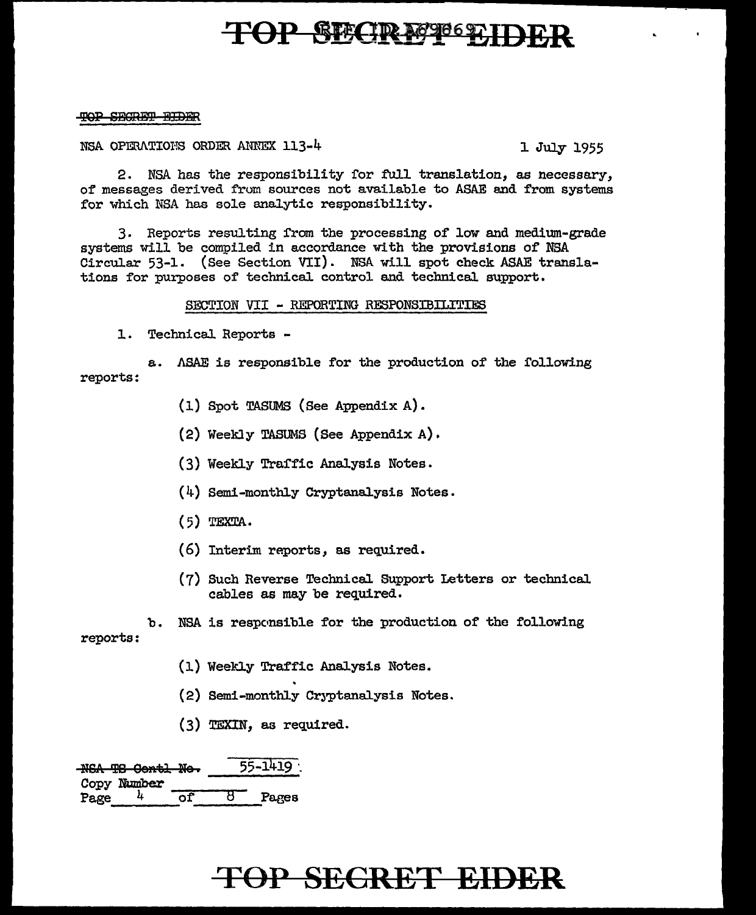# **TOP BEATRAG9069711**

### TOP SECRET BIDER

NSA OPERATIONS ORDER ANNEX  $113$ -4 1 July 1955

2. NSA has the responsibility for full translation, as necessary, of messages derived from sources not available to ASAE and from systems for which NSA has sole analytic responsibility.

3. Reports resulting from the processing of low and medium-grade systems will be compiled in accordance with the provisions of' NSA Circular 53-1. (See Section VII). NSA wi11 spot check ASAE translations for purposes of technical control and technical support.

SECTION VII - REPORTING RESPONSIBILITIES

1. Technical Reports -

reports: a. ASAE is responsible for the production of the following

- (l) Spot TASUMS (See Appendix A).
- $(2)$  Weekly TASUMS (See Appendix A).
- (3) Weekly Traffic Analysis Notes.
- $(4)$  Semi-monthly Cryptanalysis Notes.
- (5) TEXTA.
- (6) Interim reports, as required.
- (7) Such Reverse Technical Support Letters or technical cables as may be required.

reports: b. NSA is responsible for the production of the following

- (1) Weekly Traffic Analysis Notes.
- (2) Semi-monthly Cryptanalysis Notes.
- (3) TEXIN, as required.

NSA TS Oentl Ne. 55-1419 Copy Number  $Page$   $\frac{4}{5}$   $\frac{1}{2}$  Pages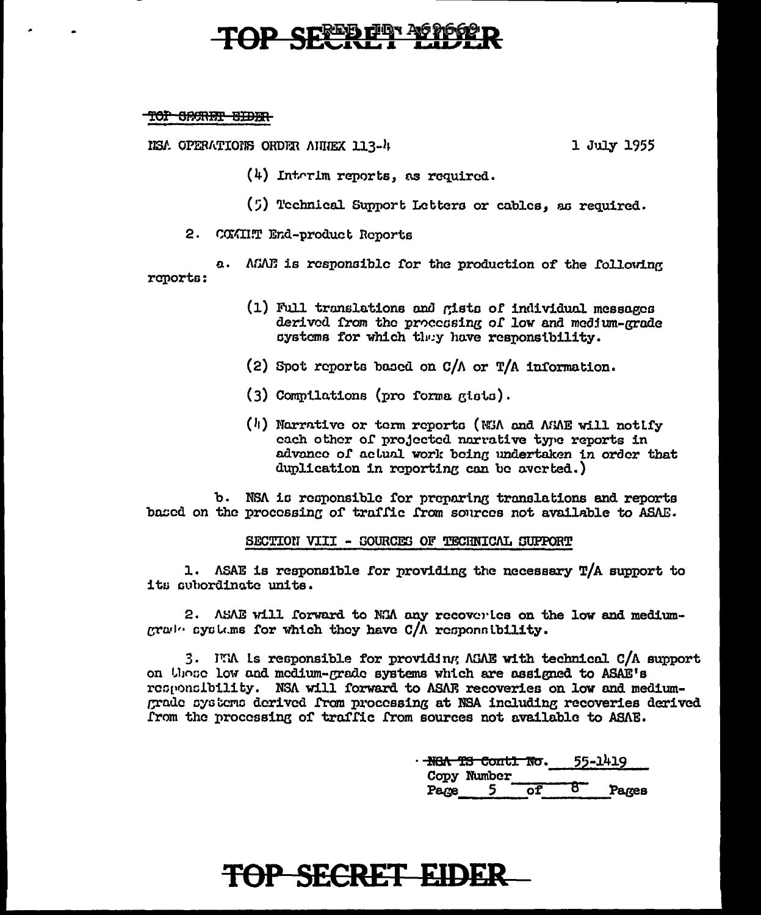# **SEXTE DEL 70**

#### TOP CRANT EIDER

NSA OPERATIONS ORDER AUDEX 113-4

1 July 1955

 $(4)$  Interim reports, as required.

(5) Technical Support Letters or cables, as required.

2. COMINT End-product Reports

a. AGAE is responsible for the production of the following renorts:

- (1) Full translations and gists of individual messages derived from the processing of low and medium-grade systems for which they have responsibility.
- (2) Spot reports based on  $C/\Lambda$  or T/A information.
- (3) Compilations (pro forma gists).
- (h) Narrative or term reports (NEA and AEAE will notify each other of projected narrative type reports in advance of actual work being undertaken in order that duplication in reporting can be averted.)

b. NSA is responsible for preparing translations and reports based on the processing of traffic from sources not available to ASAE.

#### SECTION VIII - SOURCES OF TECHNICAL SUPPORT

1. ASAE is responsible for providing the necessary  $T/A$  support to its subordinate units.

2. ASAE will forward to NKA any recovertes on the low and medium- $|c\tau\omega|$ . systems for which they have  $C/\Lambda$  responsibility.

3. ITM is responsible for providing AGAE with technical C/A support on those low and medium-grade systems which are assigned to ASAE's responsibility. NSA will forward to ASAE recoveries on low and mediumgrade systems derived from processing at NSA including recoveries derived from the processing of traffic from sources not available to ASAE.

|      | <del>NGA TS Contl No</del> . |  | 55-1419 |
|------|------------------------------|--|---------|
|      | Copy Number                  |  |         |
| Pare |                              |  | Pares   |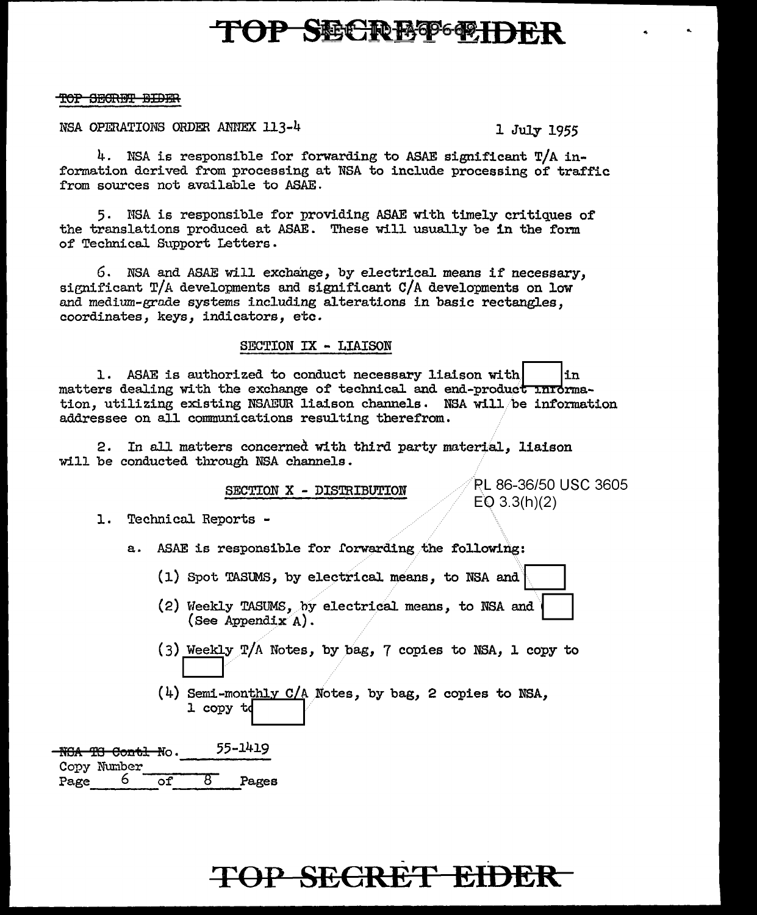# **TOP SNCRBOGETH**

#### TOP SECRET BIDER

NSA OPERATIONS ORDER ANNEX 113-4

1 July 1955

4. NSA is responsible for forwarding to ASAE significant  $T/A$  information derived from processing at NSA to include processing of traffic from sources not available to ASAE.

5. NSA is responsible for providing ASAE with timely critiques of the translations produced at ASAE. These will usually be in the form of Technical Support Letters.

6. NSA and ASAE will exchange, by electrical means if necessary. significant T/A developments and significant C/A developments on low and medium-grade systems including alterations in basic rectangles. coordinates, keys, indicators, etc.

#### SECTION IX - LIAISON

1. ASAE is authorized to conduct necessary liaison with in. matters dealing with the exchange of technical and end-product information, utilizing existing NSAEUR liaison channels. NSA will be information addressee on all communications resulting therefrom.

In all matters concerned with third party material. liaison  $2.$ will be conducted through NSA channels.

SECTION X - DISTRIBUTION

**PL 86-36/50 USC 3605**  $EQ 3.3(h)(2)$ 

1. Technical Reports -

a. ASAE is responsible for forwarding the following:

(1) Spot TASUMS, by electrical means, to NSA and

- (2) Weekly TASUMS, by electrical means, to NSA and (See Appendix  $A$ ).
- (3) Weekly T/A Notes, by bag, 7 copies to NSA, 1 copy to
- $(4)$  Semi-monthly C/A Notes, by bag, 2 copies to NSA, 1 copy td

55-1419 **-NGA TG Contl No.** Copy Number 6  $\overline{\text{of}}$  $\overline{\mathcal{B}^-}$ Pages Page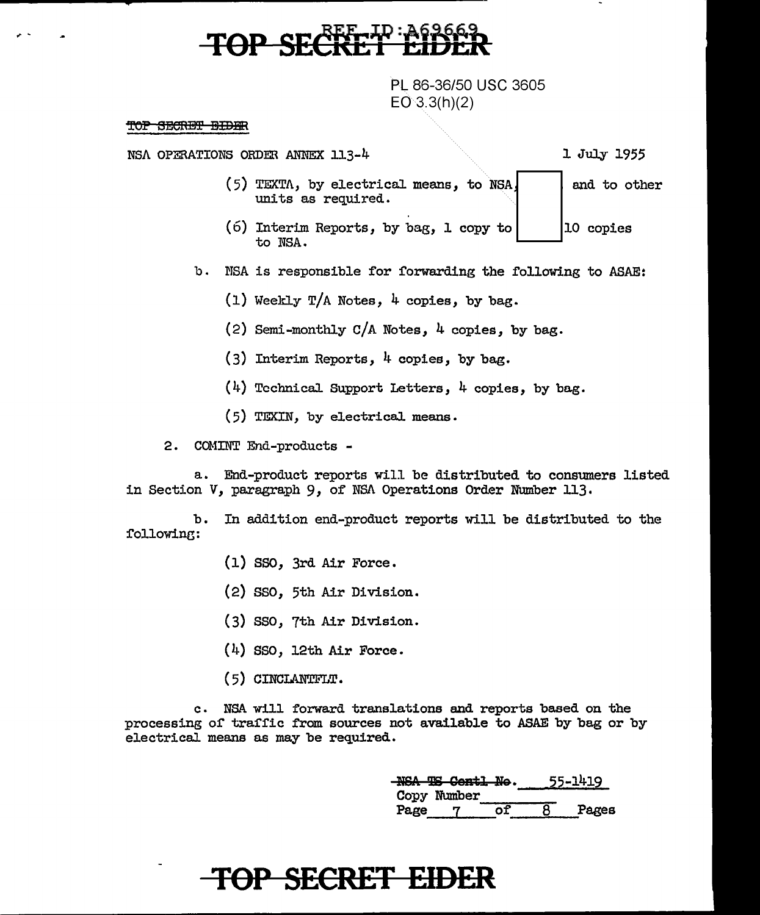PL 86-36/50 USC 3605  $EO 3.3(h)(2)$ 

#### TOP SECRET BIDER

,,. -

NSA OPERATIONS ORDER ANNEX 113-4

1 July 1955

- (5) TEXTA, by electrical means, units as required. and to other
- (6) Interim Reports, by bag, l to NSA. 10 copies
- b. NSA is responsible for forwarding the following to ASAE:
	- $(1)$  Weekly T/A Notes, 4 copies, by bag.
	- (2) Semi-monthly  $C/A$  Notes, 4 copies, by bag.
	- (3) Interim Reports,  $\frac{1}{4}$  copies, by bag.
	- (4) TcchnicaJ. Support Letters, 4 copies, by bag.
	- (5) TEXIN, by electricaJ. means.

2. COMINT End-products -

a. End-product reports will be distributed to consumers listed in Section V, paragraph 9, of NSA Operations Order Number 113.

b. In addition end-product reports will be distributed to the i'ollowine:

- (l) sso, 3rd Air Force.
- (2) sso, 5th Air Division.
- (3) sso, 7th Air Division.
- (4) sso, 12th Air Force.
- ( 5) CINCLANTFLT.

c. NSA will forward translations and reports based on the processing or trai'fic from sources not available to ASAE by bag or by electrical means as may be required.

|      | NSA TS Contl No. |  | 55-1419 |
|------|------------------|--|---------|
|      | Copy Number      |  |         |
| Page |                  |  | Pages   |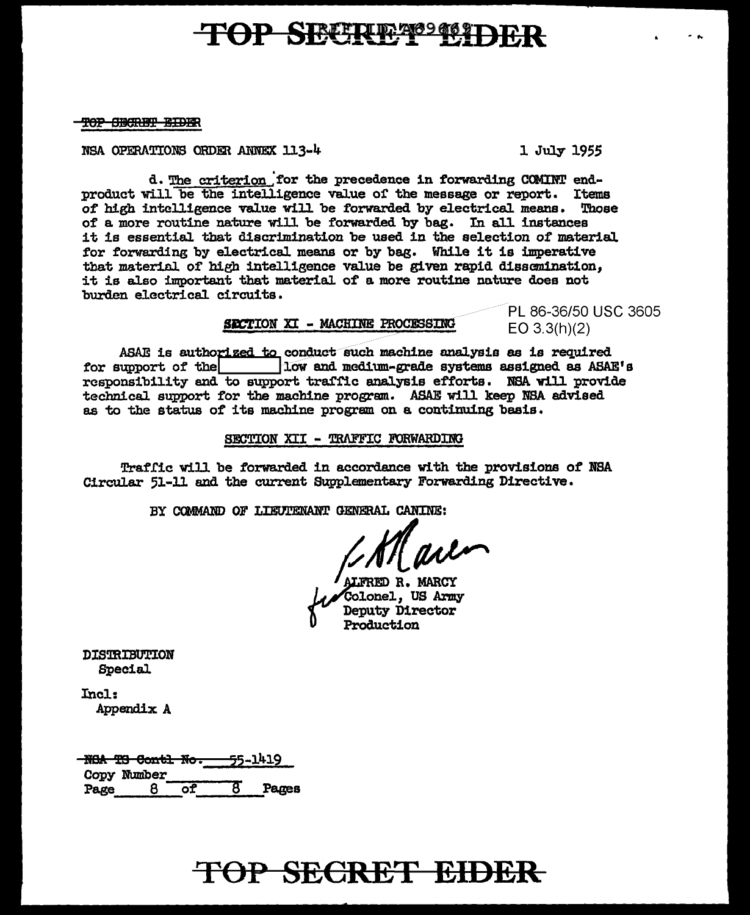# TOP SECRET SECTION

TOP SECRET EIDER

NSA OPERATIONS ORDER ANNEX 113-4

1 July 1955

d. The criterion for the precedence in forwarding COMINT endproduct will be the intelligence value of the message or report. Items of high intelligence value will be forwarded by electrical means. Those of a more routine nature will be forwarded by bag. In all instances it is essential that discrimination be used in the selection of material for forwarding by electrical means or by bag. While it is imperative that material of high intelligence value be given rapid dissemination, it is also important that material of a more routine nature does not burden electrical circuits.

### SECTION XI - MACHINE PROCESSING

PL 86-36/50 USC 3605  $EO$  3.3(h)(2)

ASAE is authorized to conduct such machine analysis as is required 10w and medium-grade systems assigned as ASAE's for support of the responsibility and to support traffic analysis efforts. NSA will provide technical support for the machine program. ASAE will keep NSA advised as to the status of its machine program on a continuing basis.

SECTION XII - TRAFFIC FORWARDING

Traffic will be forwarded in accordance with the provisions of NSA Circular 51-11 and the current Supplementary Forwarding Directive.

BY COMMAND OF LIEUTENANT GENERAL CANINE:

RED R. MARCY Colonel. US Army **Deputy Director** Production

**DISTRIBUTION** Special

 $Incl:$ Appendix A

<del>-NGA TS Contl No.</del> 55-1419 Copy Number Pages  $\overline{c}$ Page 8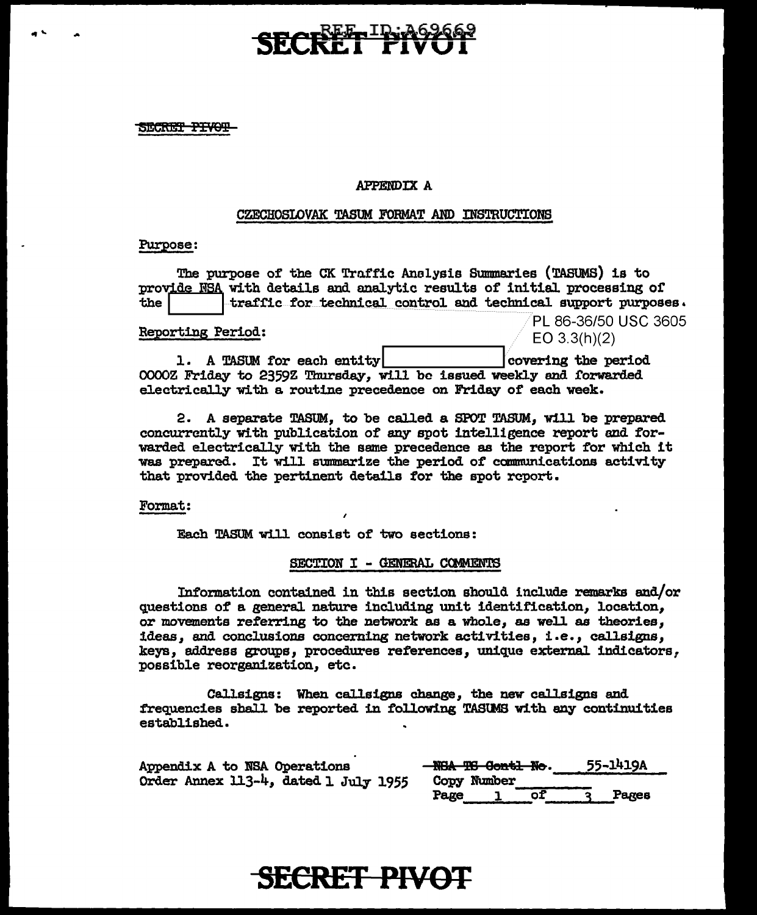SECRET PIVOT

....

#### APPENDIX A

#### CZECHOSLOVAK TASUM FORMAT AND INSTRUCTIONS

#### Purpose:

The purpose of the CK Traffic Analysis Summaries (TASUMS) is to<br>prov<u>ide NSA</u> with details and analytic results of initial processing of the the traffic for technical control and technical support purposes. PL 86-36/50 USC 3605<br>EO 3.3(h)(2) Reporting Period: 1. A TASUM for each entity in the covering the period 0000Z Friday to 2359Z Thursday, will be issued weekly and forwarded electrically with a routine precedence on Friday of each week.

2. A separate TASUM, to be called a SPOT TASUM, will be prepared concurrently with publication of any spot intelligence report and forwarded electrically with the same precedence as the report for which it was prepared. It will summarize the period of communications activity that provided the pertinent details for the spot report.

Format:

Each TASUM will consist of two sections:

#### SECTION I - GENERAL COMMENTS

Information contained in this section sbou1d include remarks and/or questions of' a general. nature including unit identification, location, or movements referring to the network as a whole, as well as theories, ideas, and conclusions concerning network activities, i.e., callsigns, keys, address groups, procedures references, unique external indicators, possible reorganization, etc.

Callsigns: When callsigns change, the new callsigns and frequencies shall be reported in following TAStMS with any continuities established.

| Appendix A to NSA Operations         | 55-1419A<br>NGA TG Contl No. |  |
|--------------------------------------|------------------------------|--|
| Order Annex 113-4, dated 1 July 1955 | Copy Number<br>Page<br>Pares |  |

### **SECRET PIVOT**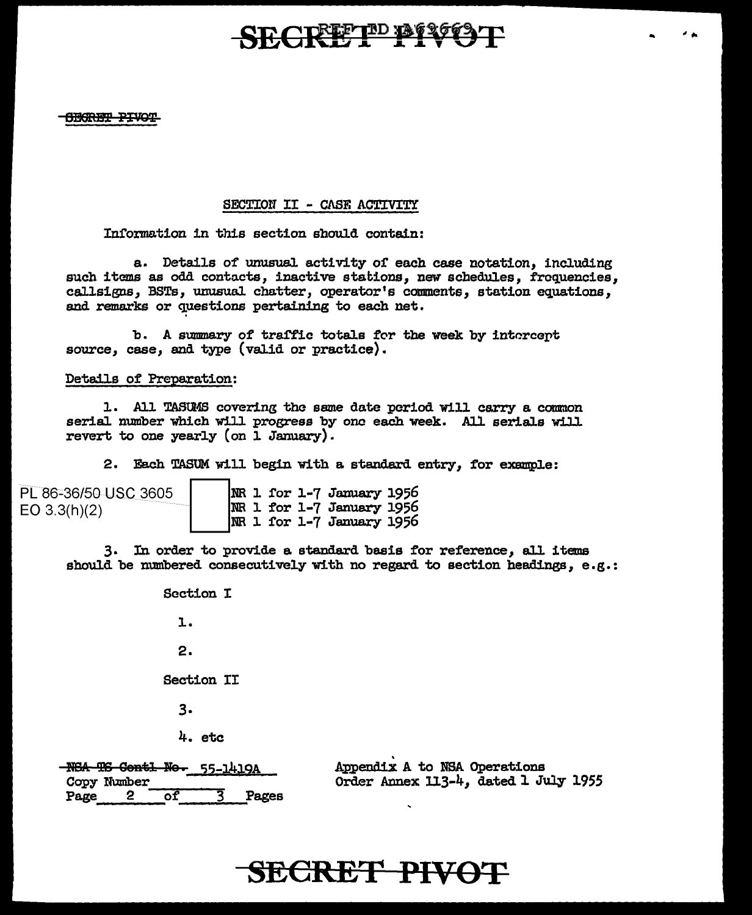# SECRETED BESCENT

.. .. ""

**CECRET PIVOT** 

### SECTION II - CASE ACTIVITY

Information in this section should contain:

a. Details of unusual activity or each case notation, including such items as odd contacts, inactive stations, new schedules, frequencies, callsigns, BSTs, unusual chatter, operator's comments, station equations, and remarks or questions pertaining to each net.

b. A summary of traffic totals for the week by intercept source, case, and type (valid or practice).

#### Details of Preparation:

1. All TASUMS covering the same date period will carry a common serial number which will progress by one each week. All serials will revert to one yearly (on 1 January).

2. Each TASUM will begin with a standard entry, for example:

| PL 86-36/50 USC 3605 |  |  | $ NR $ 1 for 1-7 January 1956                 |  |
|----------------------|--|--|-----------------------------------------------|--|
| EO $3.3(h)(2)$       |  |  | $ NR 1$ for 1-7 January 1956                  |  |
|                      |  |  | $\overline{\text{MR}}$ 1 for 1-7 January 1956 |  |

3. In order to provide a standard basis for reference *1* all 1 tems should be numbered consecutively with no regard to section headings, e.g.:

> Section I l. 2.

Section II

 $3.$ 

4. etc

NSA TS Contl No. 55-1419A Copy Number<br>Page 2 of 3 Pages Appendix A to NSA Operations Order Annex 113-4, dated l July 1955

# **SECRET PIVOT**